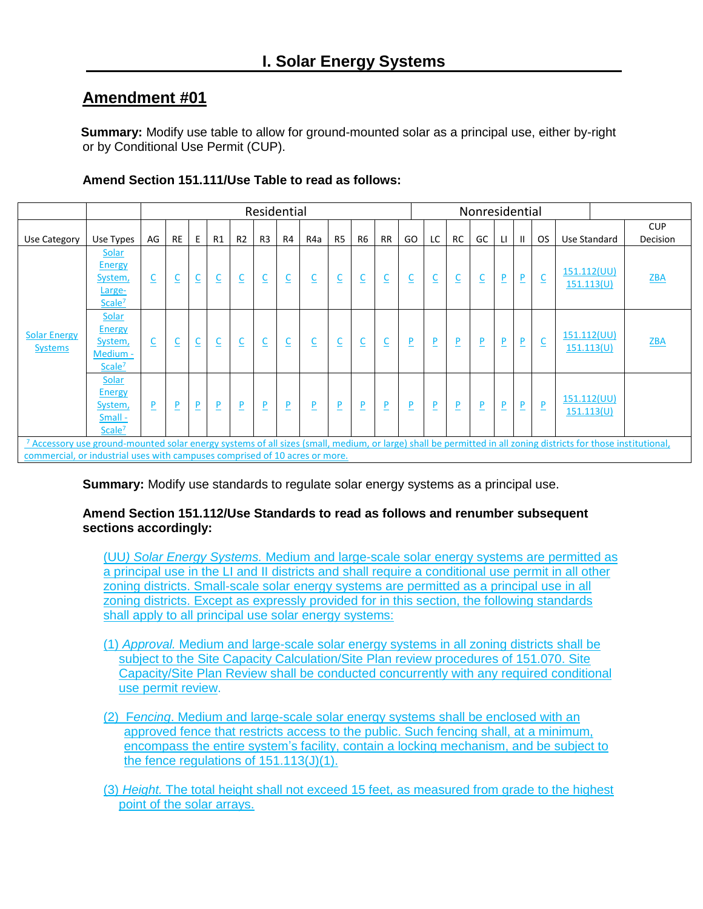**Summary:** Modify use table to allow for ground-mounted solar as a principal use, either by-right or by Conditional Use Permit (CUP).

|                                                                                                                                                                                                                                               |                                                                     |                         | Residential |                         |                          |                          |                         |                         |                         |                |                          |                         |                         |                          |                         | Nonresidential |                         |              |                          |                           |  |                        |
|-----------------------------------------------------------------------------------------------------------------------------------------------------------------------------------------------------------------------------------------------|---------------------------------------------------------------------|-------------------------|-------------|-------------------------|--------------------------|--------------------------|-------------------------|-------------------------|-------------------------|----------------|--------------------------|-------------------------|-------------------------|--------------------------|-------------------------|----------------|-------------------------|--------------|--------------------------|---------------------------|--|------------------------|
| Use Category                                                                                                                                                                                                                                  | Use Types                                                           | AG                      | <b>RE</b>   | E.                      | R1                       | R <sub>2</sub>           | R <sub>3</sub>          | R4                      | R4a                     | R <sub>5</sub> | R <sub>6</sub>           | <b>RR</b>               | GO                      | LC                       | <b>RC</b>               | GC             | LI.                     | $\mathbf{H}$ | <b>OS</b>                | Use Standard              |  | <b>CUP</b><br>Decision |
| <b>Solar Energy</b><br><b>Systems</b>                                                                                                                                                                                                         | Solar<br><b>Energy</b><br>System,<br>Large-<br>Scale <sup>7</sup>   | $\overline{\mathsf{C}}$ |             | $\overline{\mathsf{C}}$ | $\underline{\mathsf{C}}$ | $\underline{\mathsf{C}}$ | $\overline{\mathsf{C}}$ | $\overline{\mathsf{C}}$ | $\overline{\mathsf{C}}$ |                | $\overline{\mathsf{C}}$  | $\overline{\mathsf{C}}$ |                         | $\underline{\mathsf{C}}$ | $\overline{\mathsf{C}}$ |                | P                       | <u>P</u>     | $\underline{\mathsf{C}}$ | 151.112(UU)<br>151.113(U) |  | ZBA                    |
|                                                                                                                                                                                                                                               | Solar<br><b>Energy</b><br>System,<br>Medium -<br>Scale <sup>7</sup> | $\overline{\mathsf{C}}$ | ᆜ           | $\overline{\mathsf{C}}$ | $\overline{\mathsf{C}}$  | $\overline{\mathsf{C}}$  | $\overline{\mathsf{C}}$ | $\overline{\mathsf{C}}$ | $\overline{\mathsf{C}}$ |                | $\underline{\mathsf{C}}$ | $\overline{\mathsf{C}}$ | $\overline{P}$          | $\overline{\mathsf{P}}$  | P                       | $\overline{P}$ | P                       | P            | $\underline{\mathsf{C}}$ | 151.112(UU)<br>151.113(U) |  | <b>ZBA</b>             |
|                                                                                                                                                                                                                                               | Solar<br>Energy<br>System,<br>Small -<br>Scale <sup>7</sup>         | $\overline{P}$          | <u>P</u>    | $\overline{\mathsf{P}}$ | $\overline{P}$           | $\overline{\mathsf{P}}$  | P                       | $\overline{P}$          | P                       | P              | $\overline{\mathsf{P}}$  | $\overline{P}$          | $\overline{\mathsf{P}}$ | $\overline{\mathsf{P}}$  | <u>P</u>                | $\overline{P}$ | $\overline{\mathsf{P}}$ | <u>P</u>     | $\overline{P}$           | 151.112(UU)<br>151.113(U) |  |                        |
| 7 Accessory use ground-mounted solar energy systems of all sizes (small, medium, or large) shall be permitted in all zoning districts for those institutional,<br>commercial, or industrial uses with campuses comprised of 10 acres or more. |                                                                     |                         |             |                         |                          |                          |                         |                         |                         |                |                          |                         |                         |                          |                         |                |                         |              |                          |                           |  |                        |

## **Amend Section 151.111/Use Table to read as follows:**

**Summary:** Modify use standards to regulate solar energy systems as a principal use.

## **Amend Section 151.112/Use Standards to read as follows and renumber subsequent sections accordingly:**

(UU*) Solar Energy Systems.* Medium and large-scale solar energy systems are permitted as a principal use in the LI and II districts and shall require a conditional use permit in all other zoning districts. Small-scale solar energy systems are permitted as a principal use in all zoning districts. Except as expressly provided for in this section, the following standards shall apply to all principal use solar energy systems:

- (1) *Approval.* Medium and large-scale solar energy systems in all zoning districts shall be subject to the Site Capacity Calculation/Site Plan review procedures of 151.070. Site Capacity/Site Plan Review shall be conducted concurrently with any required conditional use permit review.
- (2) F*encing*. Medium and large-scale solar energy systems shall be enclosed with an approved fence that restricts access to the public. Such fencing shall, at a minimum, encompass the entire system's facility, contain a locking mechanism, and be subject to the fence regulations of 151.113(J)(1).
- (3) *Height.* The total height shall not exceed 15 feet, as measured from grade to the highest point of the solar arrays.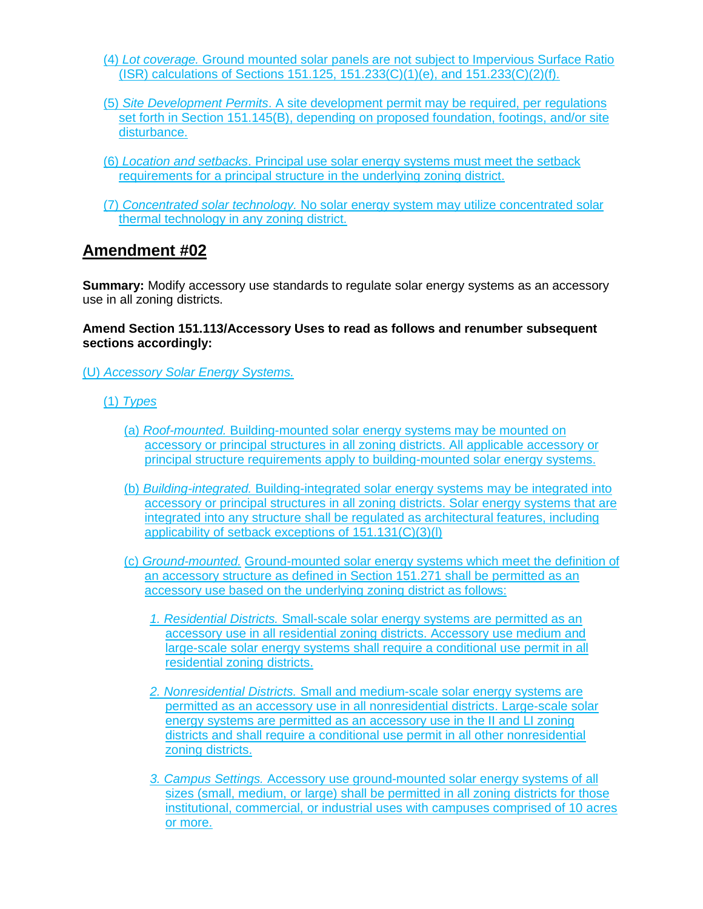- (4) *Lot coverage.* Ground mounted solar panels are not subject to Impervious Surface Ratio (ISR) calculations of Sections 151.125, 151.233(C)(1)(e), and 151.233(C)(2)(f).
- (5) *Site Development Permits*. A site development permit may be required, per regulations set forth in Section 151.145(B), depending on proposed foundation, footings, and/or site disturbance.
- (6) *Location and setbacks*. Principal use solar energy systems must meet the setback requirements for a principal structure in the underlying zoning district.
- (7) *Concentrated solar technology.* No solar energy system may utilize concentrated solar thermal technology in any zoning district.

**Summary:** Modify accessory use standards to regulate solar energy systems as an accessory use in all zoning districts.

#### **Amend Section 151.113/Accessory Uses to read as follows and renumber subsequent sections accordingly:**

(U) *Accessory Solar Energy Systems.* 

- (1) *Types* 
	- (a) *Roof-mounted.* Building-mounted solar energy systems may be mounted on accessory or principal structures in all zoning districts. All applicable accessory or principal structure requirements apply to building-mounted solar energy systems.
	- (b) *Building-integrated.* Building-integrated solar energy systems may be integrated into accessory or principal structures in all zoning districts. Solar energy systems that are integrated into any structure shall be regulated as architectural features, including applicability of setback exceptions of 151.131(C)(3)(l)
	- (c) *Ground-mounted.* Ground-mounted solar energy systems which meet the definition of an accessory structure as defined in Section 151.271 shall be permitted as an accessory use based on the underlying zoning district as follows:
		- *1. Residential Districts.* Small-scale solar energy systems are permitted as an accessory use in all residential zoning districts. Accessory use medium and large-scale solar energy systems shall require a conditional use permit in all residential zoning districts.
		- *2. Nonresidential Districts.* Small and medium-scale solar energy systems are permitted as an accessory use in all nonresidential districts. Large-scale solar energy systems are permitted as an accessory use in the II and LI zoning districts and shall require a conditional use permit in all other nonresidential zoning districts.
		- *3. Campus Settings.* Accessory use ground-mounted solar energy systems of all sizes (small, medium, or large) shall be permitted in all zoning districts for those institutional, commercial, or industrial uses with campuses comprised of 10 acres or more.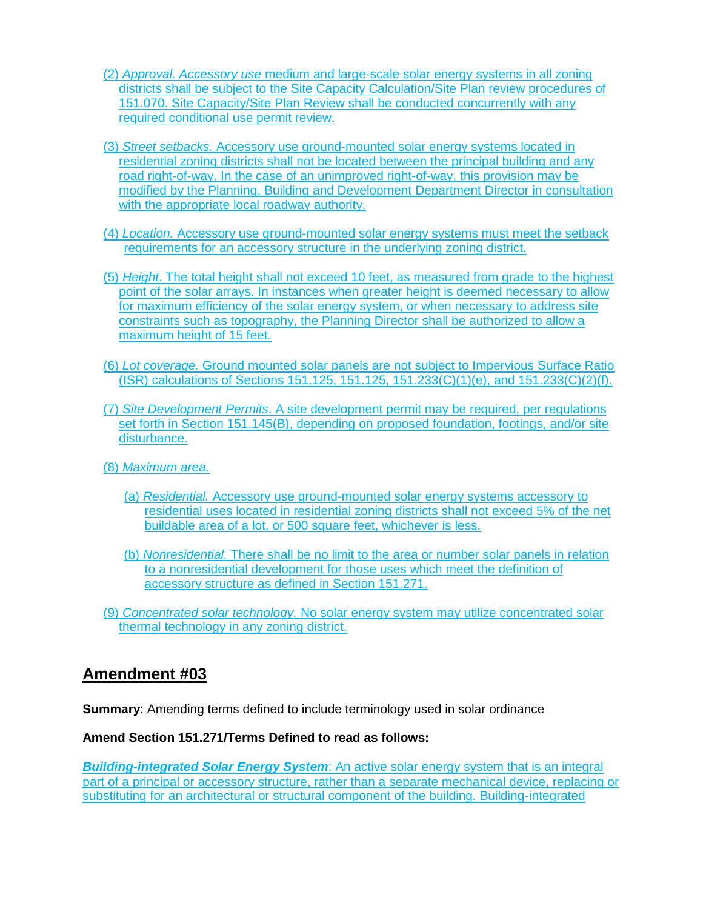- (2) *Approval. Accessory use* medium and large-scale solar energy systems in all zoning districts shall be subject to the Site Capacity Calculation/Site Plan review procedures of 151.070. Site Capacity/Site Plan Review shall be conducted concurrently with any required conditional use permit review.
- (3) *Street setbacks.* Accessory use ground-mounted solar energy systems located in residential zoning districts shall not be located between the principal building and any road right-of-way. In the case of an unimproved right-of-way, this provision may be modified by the Planning, Building and Development Department Director in consultation with the appropriate local roadway authority.
- (4) *Location.* Accessory use ground-mounted solar energy systems must meet the setback requirements for an accessory structure in the underlying zoning district.
- (5) *Height*. The total height shall not exceed 10 feet, as measured from grade to the highest point of the solar arrays. In instances when greater height is deemed necessary to allow for maximum efficiency of the solar energy system, or when necessary to address site constraints such as topography, the Planning Director shall be authorized to allow a maximum height of 15 feet.
- (6) *Lot coverage.* Ground mounted solar panels are not subject to Impervious Surface Ratio (ISR) calculations of Sections 151.125, 151.125, 151.233(C)(1)(e), and 151.233(C)(2)(f).
- (7) *Site Development Permits*. A site development permit may be required, per regulations set forth in Section 151.145(B), depending on proposed foundation, footings, and/or site disturbance.
- (8) *Maximum area.*
	- (a) *Residential.* Accessory use ground-mounted solar energy systems accessory to residential uses located in residential zoning districts shall not exceed 5% of the net buildable area of a lot, or 500 square feet, whichever is less.
	- (b) *Nonresidential.* There shall be no limit to the area or number solar panels in relation to a nonresidential development for those uses which meet the definition of accessory structure as defined in Section 151.271.
- (9) *Concentrated solar technology.* No solar energy system may utilize concentrated solar thermal technology in any zoning district.

**Summary**: Amending terms defined to include terminology used in solar ordinance

#### **Amend Section 151.271/Terms Defined to read as follows:**

*Building-integrated Solar Energy System*: An active solar energy system that is an integral part of a principal or accessory structure, rather than a separate mechanical device, replacing or substituting for an architectural or structural component of the building. Building-integrated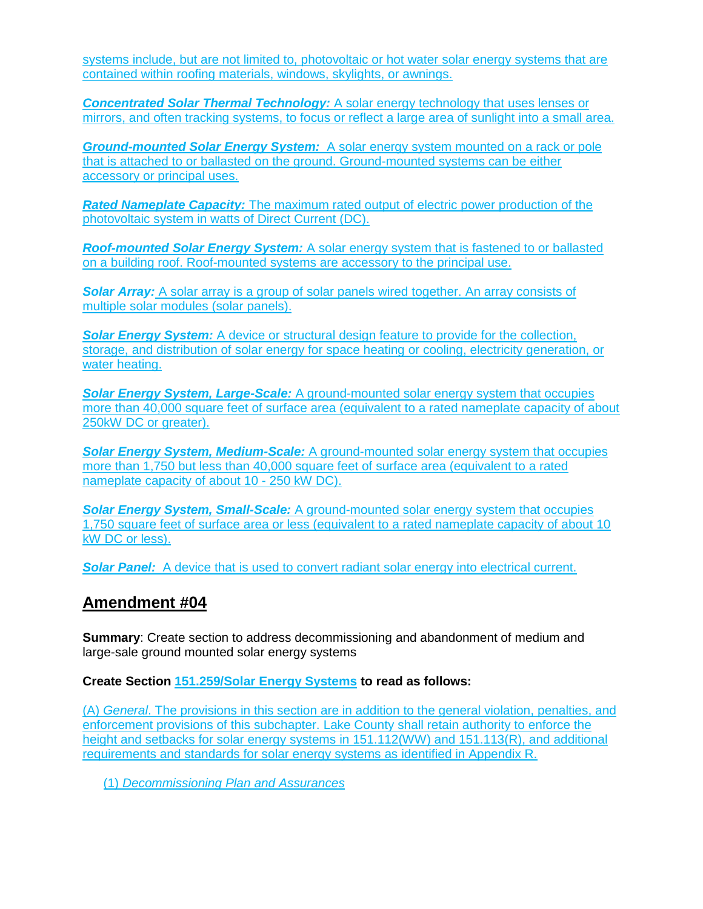systems include, but are not limited to, photovoltaic or hot water solar energy systems that are contained within roofing materials, windows, skylights, or awnings.

*Concentrated Solar Thermal Technology:* A solar energy technology that uses lenses or mirrors, and often tracking systems, to focus or reflect a large area of sunlight into a small area.

*Ground-mounted Solar Energy System:* A solar energy system mounted on a rack or pole that is attached to or ballasted on the ground. Ground-mounted systems can be either accessory or principal uses.

*Rated Nameplate Capacity:* The maximum rated output of electric power production of the photovoltaic system in watts of Direct Current (DC).

*Roof-mounted Solar Energy System:* A solar energy system that is fastened to or ballasted on a building roof. Roof-mounted systems are accessory to the principal use.

**Solar Array:** A solar array is a group of solar panels wired together. An array consists of multiple solar modules (solar panels).

**Solar Energy System:** A device or structural design feature to provide for the collection, storage, and distribution of solar energy for space heating or cooling, electricity generation, or water heating.

*Solar Energy System, Large-Scale:* A ground-mounted solar energy system that occupies more than 40,000 square feet of surface area (equivalent to a rated nameplate capacity of about 250kW DC or greater).

*Solar Energy System, Medium-Scale:* A ground-mounted solar energy system that occupies more than 1,750 but less than 40,000 square feet of surface area (equivalent to a rated nameplate capacity of about 10 - 250 kW DC).

*Solar Energy System, Small-Scale:* A ground-mounted solar energy system that occupies 1,750 square feet of surface area or less (equivalent to a rated nameplate capacity of about 10 kW DC or less).

**Solar Panel:** A device that is used to convert radiant solar energy into electrical current.

## **Amendment #04**

**Summary**: Create section to address decommissioning and abandonment of medium and large-sale ground mounted solar energy systems

**Create Section 151.259/Solar Energy Systems to read as follows:**

(A) *General*. The provisions in this section are in addition to the general violation, penalties, and enforcement provisions of this subchapter. Lake County shall retain authority to enforce the height and setbacks for solar energy systems in 151.112(WW) and 151.113(R), and additional requirements and standards for solar energy systems as identified in Appendix R.

(1) *Decommissioning Plan and Assurances*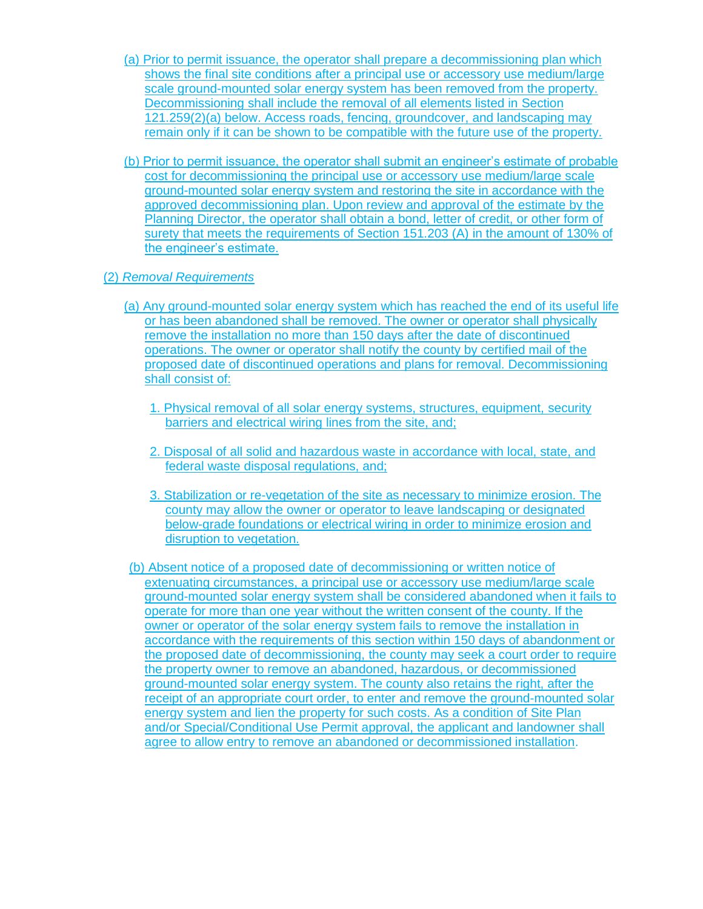- (a) Prior to permit issuance, the operator shall prepare a decommissioning plan which shows the final site conditions after a principal use or accessory use medium/large scale ground-mounted solar energy system has been removed from the property. Decommissioning shall include the removal of all elements listed in Section 121.259(2)(a) below. Access roads, fencing, groundcover, and landscaping may remain only if it can be shown to be compatible with the future use of the property.
- (b) Prior to permit issuance, the operator shall submit an engineer's estimate of probable cost for decommissioning the principal use or accessory use medium/large scale ground-mounted solar energy system and restoring the site in accordance with the approved decommissioning plan. Upon review and approval of the estimate by the Planning Director, the operator shall obtain a bond, letter of credit, or other form of surety that meets the requirements of Section 151.203 (A) in the amount of 130% of the engineer's estimate.

## (2) *Removal Requirements*

- (a) Any ground-mounted solar energy system which has reached the end of its useful life or has been abandoned shall be removed. The owner or operator shall physically remove the installation no more than 150 days after the date of discontinued operations. The owner or operator shall notify the county by certified mail of the proposed date of discontinued operations and plans for removal. Decommissioning shall consist of:
	- 1. Physical removal of all solar energy systems, structures, equipment, security barriers and electrical wiring lines from the site, and;
	- 2. Disposal of all solid and hazardous waste in accordance with local, state, and federal waste disposal regulations, and;
	- 3. Stabilization or re-vegetation of the site as necessary to minimize erosion. The county may allow the owner or operator to leave landscaping or designated below-grade foundations or electrical wiring in order to minimize erosion and disruption to vegetation.
- (b) Absent notice of a proposed date of decommissioning or written notice of extenuating circumstances, a principal use or accessory use medium/large scale ground-mounted solar energy system shall be considered abandoned when it fails to operate for more than one year without the written consent of the county. If the owner or operator of the solar energy system fails to remove the installation in accordance with the requirements of this section within 150 days of abandonment or the proposed date of decommissioning, the county may seek a court order to require the property owner to remove an abandoned, hazardous, or decommissioned ground-mounted solar energy system. The county also retains the right, after the receipt of an appropriate court order, to enter and remove the ground-mounted solar energy system and lien the property for such costs. As a condition of Site Plan and/or Special/Conditional Use Permit approval, the applicant and landowner shall agree to allow entry to remove an abandoned or decommissioned installation.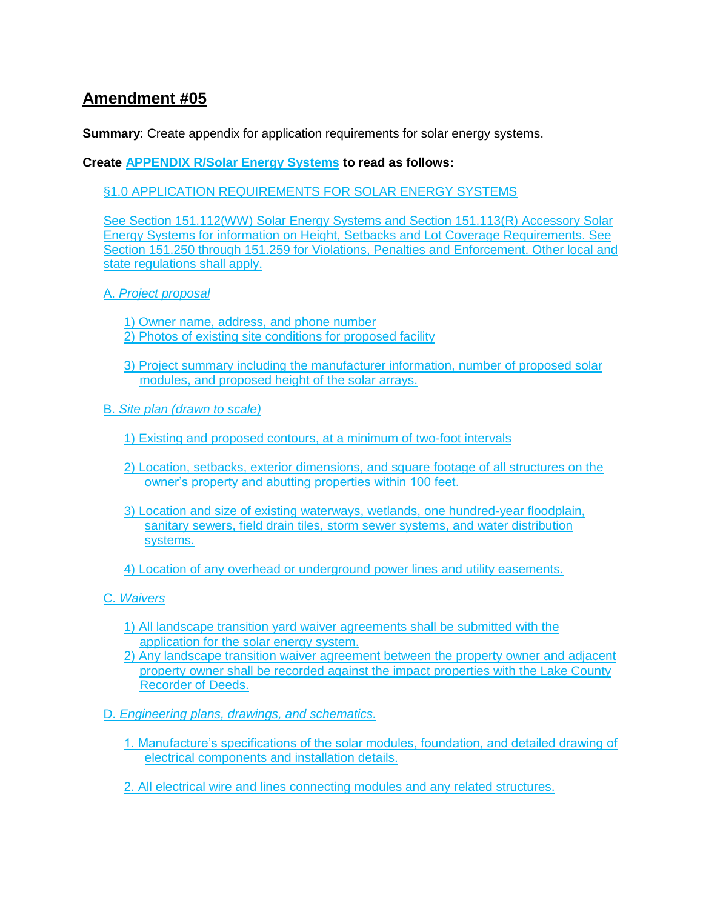**Summary**: Create appendix for application requirements for solar energy systems.

## **Create APPENDIX R/Solar Energy Systems to read as follows:**

§1.0 APPLICATION REQUIREMENTS FOR SOLAR ENERGY SYSTEMS

See Section 151.112(WW) Solar Energy Systems and Section 151.113(R) Accessory Solar Energy Systems for information on Height, Setbacks and Lot Coverage Requirements. See Section 151.250 through 151.259 for Violations, Penalties and Enforcement. Other local and state regulations shall apply.

A. *Project proposal*

1) Owner name, address, and phone number 2) Photos of existing site conditions for proposed facility

- 3) Project summary including the manufacturer information, number of proposed solar modules, and proposed height of the solar arrays.
- B. *Site plan (drawn to scale)* 
	- 1) Existing and proposed contours, at a minimum of two-foot intervals
	- 2) Location, setbacks, exterior dimensions, and square footage of all structures on the owner's property and abutting properties within 100 feet.
	- 3) Location and size of existing waterways, wetlands, one hundred-year floodplain, sanitary sewers, field drain tiles, storm sewer systems, and water distribution systems.

4) Location of any overhead or underground power lines and utility easements.

C. *Waivers*

- 1) All landscape transition yard waiver agreements shall be submitted with the application for the solar energy system.
- 2) Any landscape transition waiver agreement between the property owner and adjacent property owner shall be recorded against the impact properties with the Lake County Recorder of Deeds.
- D. *Engineering plans, drawings, and schematics.*
	- 1. Manufacture's specifications of the solar modules, foundation, and detailed drawing of electrical components and installation details.
	- 2. All electrical wire and lines connecting modules and any related structures.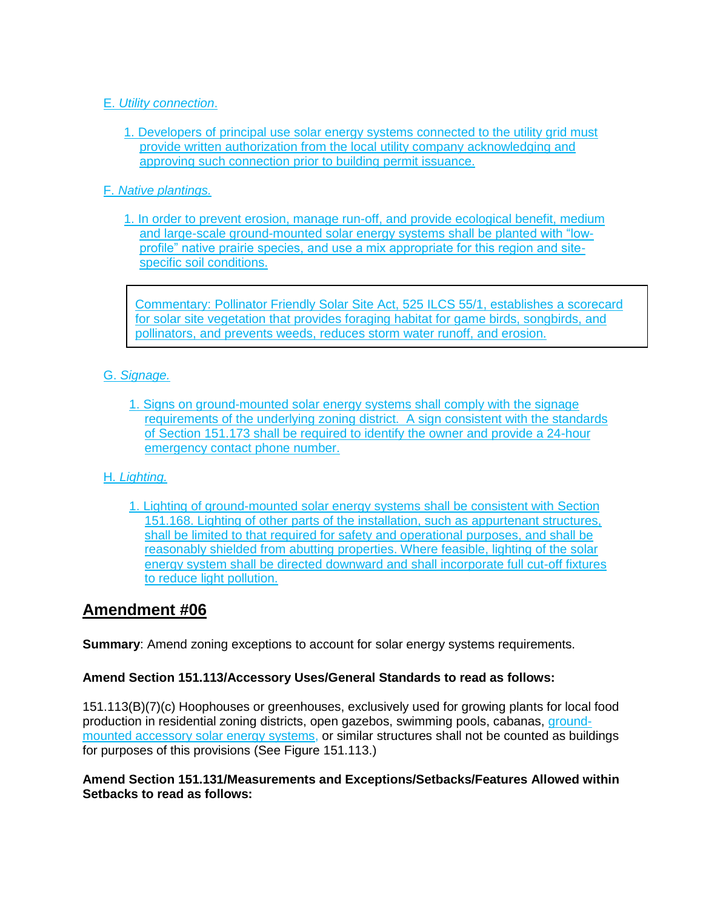## E. *Utility connection*.

1. Developers of principal use solar energy systems connected to the utility grid must provide written authorization from the local utility company acknowledging and approving such connection prior to building permit issuance.

## F. *Native plantings.*

1. In order to prevent erosion, manage run-off, and provide ecological benefit, medium and large-scale ground-mounted solar energy systems shall be planted with "lowprofile" native prairie species, and use a mix appropriate for this region and sitespecific soil conditions.

Commentary: Pollinator Friendly Solar Site Act, 525 ILCS 55/1, establishes a scorecard for solar site vegetation that provides foraging habitat for game birds, songbirds, and pollinators, and prevents weeds, reduces storm water runoff, and erosion.

## G. *Signage.*

1. Signs on ground-mounted solar energy systems shall comply with the signage requirements of the underlying zoning district. A sign consistent with the standards of Section 151.173 shall be required to identify the owner and provide a 24-hour emergency contact phone number.

## H. *Lighting.*

1. Lighting of ground-mounted solar energy systems shall be consistent with Section 151.168. Lighting of other parts of the installation, such as appurtenant structures, shall be limited to that required for safety and operational purposes, and shall be reasonably shielded from abutting properties. Where feasible, lighting of the solar energy system shall be directed downward and shall incorporate full cut-off fixtures to reduce light pollution.

## **Amendment #06**

**Summary**: Amend zoning exceptions to account for solar energy systems requirements.

## **Amend Section 151.113/Accessory Uses/General Standards to read as follows:**

151.113(B)(7)(c) Hoophouses or greenhouses, exclusively used for growing plants for local food production in residential zoning districts, open gazebos, swimming pools, cabanas, groundmounted accessory solar energy systems, or similar structures shall not be counted as buildings for purposes of this provisions (See Figure 151.113.)

## **Amend Section 151.131/Measurements and Exceptions/Setbacks/Features Allowed within Setbacks to read as follows:**